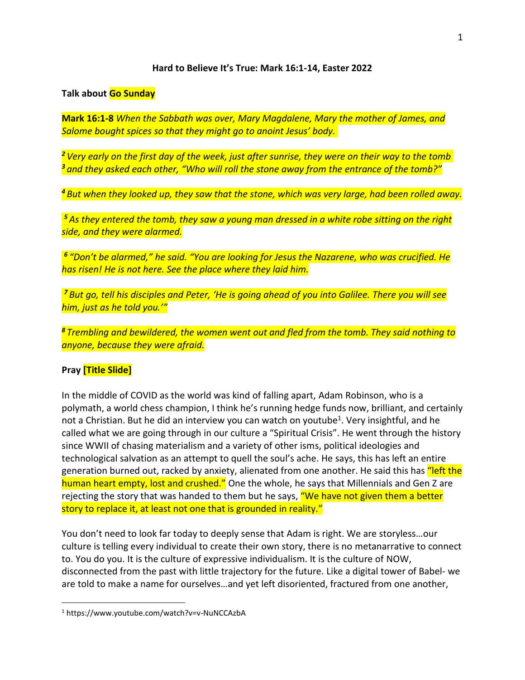## **Hard to Believe It's True: Mark 16:1-14, Easter 2022**

## **Talk about Go Sunday**

**Mark 16:1-8** *When the Sabbath was over, Mary Magdalene, Mary the mother of James, and Salome bought spices so that they might go to anoint Jesus' body.*

*<sup>2</sup> Very early on the first day of the week, just after sunrise, they were on their way to the tomb <sup>3</sup> and they asked each other, "Who will roll the stone away from the entrance of the tomb?"* 

*<sup>4</sup> But when they looked up, they saw that the stone, which was very large, had been rolled away.*

*<sup>5</sup> As they entered the tomb, they saw a young man dressed in a white robe sitting on the right side, and they were alarmed.*

*6 "Don't be alarmed," he said. "You are looking for Jesus the Nazarene, who was crucified. He has risen! He is not here. See the place where they laid him.*

*<sup>7</sup> But go, tell his disciples and Peter, 'He is going ahead of you into Galilee. There you will see him, just as he told you.'"*

*<sup>8</sup> Trembling and bewildered, the women went out and fled from the tomb. They said nothing to anyone, because they were afraid.*

## **Pray [Title Slide]**

In the middle of COVID as the world was kind of falling apart, Adam Robinson, who is a polymath, a world chess champion, I think he's running hedge funds now, brilliant, and certainly not a Christian. But he did an interview you can watch on youtube<sup>1</sup>. Very insightful, and he called what we are going through in our culture a "Spiritual Crisis". He went through the history since WWII of chasing materialism and a variety of other isms, political ideologies and technological salvation as an attempt to quell the soul's ache. He says, this has left an entire generation burned out, racked by anxiety, alienated from one another. He said this has "left the human heart empty, lost and crushed." One the whole, he says that Millennials and Gen Z are rejecting the story that was handed to them but he says, "We have not given them a better story to replace it, at least not one that is grounded in reality."

You don't need to look far today to deeply sense that Adam is right. We are storyless…our culture is telling every individual to create their own story, there is no metanarrative to connect to. You do you. It is the culture of expressive individualism. It is the culture of NOW, disconnected from the past with little trajectory for the future. Like a digital tower of Babel- we are told to make a name for ourselves…and yet left disoriented, fractured from one another,

<sup>1</sup> https://www.youtube.com/watch?v=v-NuNCCAzbA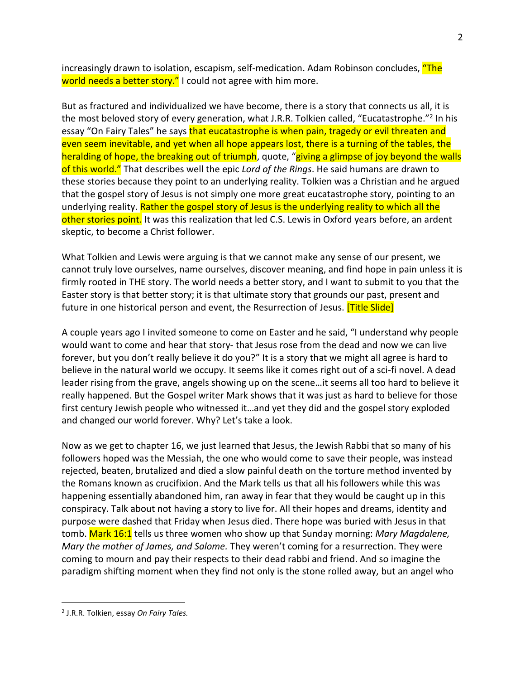increasingly drawn to isolation, escapism, self-medication. Adam Robinson concludes, "The world needs a better story." I could not agree with him more.

But as fractured and individualized we have become, there is a story that connects us all, it is the most beloved story of every generation, what J.R.R. Tolkien called, "Eucatastrophe."<sup>2</sup> In his essay "On Fairy Tales" he says that eucatastrophe is when pain, tragedy or evil threaten and even seem inevitable, and yet when all hope appears lost, there is a turning of the tables, the heralding of hope, the breaking out of triumph, quote, "giving a glimpse of joy beyond the walls of this world." That describes well the epic *Lord of the Rings*. He said humans are drawn to these stories because they point to an underlying reality. Tolkien was a Christian and he argued that the gospel story of Jesus is not simply one more great eucatastrophe story, pointing to an underlying reality. Rather the gospel story of Jesus is the underlying reality to which all the other stories point. It was this realization that led C.S. Lewis in Oxford years before, an ardent skeptic, to become a Christ follower.

What Tolkien and Lewis were arguing is that we cannot make any sense of our present, we cannot truly love ourselves, name ourselves, discover meaning, and find hope in pain unless it is firmly rooted in THE story. The world needs a better story, and I want to submit to you that the Easter story is that better story; it is that ultimate story that grounds our past, present and future in one historical person and event, the Resurrection of Jesus. **[Title Slide]** 

A couple years ago I invited someone to come on Easter and he said, "I understand why people would want to come and hear that story- that Jesus rose from the dead and now we can live forever, but you don't really believe it do you?" It is a story that we might all agree is hard to believe in the natural world we occupy. It seems like it comes right out of a sci-fi novel. A dead leader rising from the grave, angels showing up on the scene…it seems all too hard to believe it really happened. But the Gospel writer Mark shows that it was just as hard to believe for those first century Jewish people who witnessed it…and yet they did and the gospel story exploded and changed our world forever. Why? Let's take a look.

Now as we get to chapter 16, we just learned that Jesus, the Jewish Rabbi that so many of his followers hoped was the Messiah, the one who would come to save their people, was instead rejected, beaten, brutalized and died a slow painful death on the torture method invented by the Romans known as crucifixion. And the Mark tells us that all his followers while this was happening essentially abandoned him, ran away in fear that they would be caught up in this conspiracy. Talk about not having a story to live for. All their hopes and dreams, identity and purpose were dashed that Friday when Jesus died. There hope was buried with Jesus in that tomb. Mark 16:1 tells us three women who show up that Sunday morning: *Mary Magdalene, Mary the mother of James, and Salome.* They weren't coming for a resurrection. They were coming to mourn and pay their respects to their dead rabbi and friend. And so imagine the paradigm shifting moment when they find not only is the stone rolled away, but an angel who

<sup>2</sup> J.R.R. Tolkien, essay *On Fairy Tales.*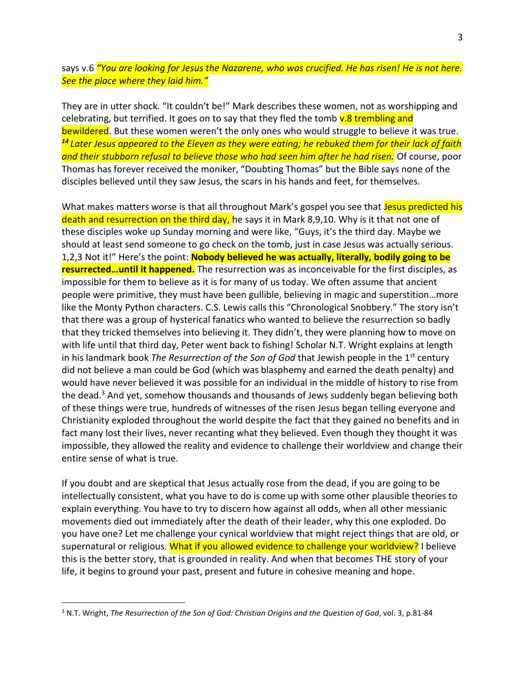says v.6 *"You are looking for Jesus the Nazarene, who was crucified. He has risen! He is not here. See the place where they laid him."*

They are in utter shock. "It couldn't be!" Mark describes these women, not as worshipping and celebrating, but terrified. It goes on to say that they fled the tomb  $v.8$  trembling and bewildered. But these women weren't the only ones who would struggle to believe it was true. *<sup>14</sup> Later Jesus appeared to the Eleven as they were eating; he rebuked them for their lack of faith and their stubborn refusal to believe those who had seen him after he had risen.* Of course, poor Thomas has forever received the moniker, "Doubting Thomas" but the Bible says none of the disciples believed until they saw Jesus, the scars in his hands and feet, for themselves.

What makes matters worse is that all throughout Mark's gospel you see that Jesus predicted his death and resurrection on the third day, he says it in Mark 8,9,10. Why is it that not one of these disciples woke up Sunday morning and were like, "Guys, it's the third day. Maybe we should at least send someone to go check on the tomb, just in case Jesus was actually serious. 1,2,3 Not it!" Here's the point: **Nobody believed he was actually, literally, bodily going to be resurrected…until it happened.** The resurrection was as inconceivable for the first disciples, as impossible for them to believe as it is for many of us today. We often assume that ancient people were primitive, they must have been gullible, believing in magic and superstition…more like the Monty Python characters. C.S. Lewis calls this "Chronological Snobbery." The story isn't that there was a group of hysterical fanatics who wanted to believe the resurrection so badly that they tricked themselves into believing it. They didn't, they were planning how to move on with life until that third day, Peter went back to fishing! Scholar N.T. Wright explains at length in his landmark book *The Resurrection of the Son of God* that Jewish people in the 1st century did not believe a man could be God (which was blasphemy and earned the death penalty) and would have never believed it was possible for an individual in the middle of history to rise from the dead.<sup>3</sup> And yet, somehow thousands and thousands of Jews suddenly began believing both of these things were true, hundreds of witnesses of the risen Jesus began telling everyone and Christianity exploded throughout the world despite the fact that they gained no benefits and in fact many lost their lives, never recanting what they believed. Even though they thought it was impossible, they allowed the reality and evidence to challenge their worldview and change their entire sense of what is true.

If you doubt and are skeptical that Jesus actually rose from the dead, if you are going to be intellectually consistent, what you have to do is come up with some other plausible theories to explain everything. You have to try to discern how against all odds, when all other messianic movements died out immediately after the death of their leader, why this one exploded. Do you have one? Let me challenge your cynical worldview that might reject things that are old, or supernatural or religious. What if you allowed evidence to challenge your worldview? I believe this is the better story, that is grounded in reality. And when that becomes THE story of your life, it begins to ground your past, present and future in cohesive meaning and hope.

<sup>3</sup> N.T. Wright, *The Resurrection of the Son of God: Christian Origins and the Question of God*, vol. 3, p.81-84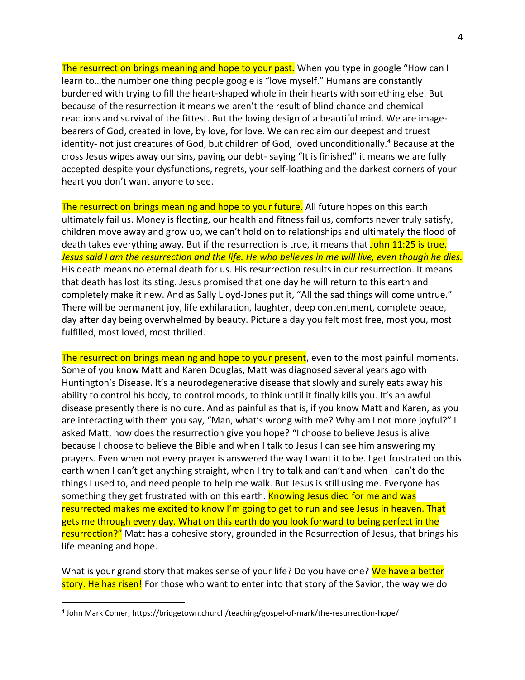The resurrection brings meaning and hope to your past. When you type in google "How can I learn to…the number one thing people google is "love myself." Humans are constantly burdened with trying to fill the heart-shaped whole in their hearts with something else. But because of the resurrection it means we aren't the result of blind chance and chemical reactions and survival of the fittest. But the loving design of a beautiful mind. We are imagebearers of God, created in love, by love, for love. We can reclaim our deepest and truest identity- not just creatures of God, but children of God, loved unconditionally. <sup>4</sup> Because at the cross Jesus wipes away our sins, paying our debt- saying "It is finished" it means we are fully accepted despite your dysfunctions, regrets, your self-loathing and the darkest corners of your heart you don't want anyone to see.

The resurrection brings meaning and hope to your future. All future hopes on this earth ultimately fail us. Money is fleeting, our health and fitness fail us, comforts never truly satisfy, children move away and grow up, we can't hold on to relationships and ultimately the flood of death takes everything away. But if the resurrection is true, it means that John 11:25 is true. *Jesus said I am the resurrection and the life. He who believes in me will live, even though he dies.* His death means no eternal death for us. His resurrection results in our resurrection. It means that death has lost its sting. Jesus promised that one day he will return to this earth and completely make it new. And as Sally Lloyd-Jones put it, "All the sad things will come untrue." There will be permanent joy, life exhilaration, laughter, deep contentment, complete peace, day after day being overwhelmed by beauty. Picture a day you felt most free, most you, most fulfilled, most loved, most thrilled.

The resurrection brings meaning and hope to your present, even to the most painful moments. Some of you know Matt and Karen Douglas, Matt was diagnosed several years ago with Huntington's Disease. It's a neurodegenerative disease that slowly and surely eats away his ability to control his body, to control moods, to think until it finally kills you. It's an awful disease presently there is no cure. And as painful as that is, if you know Matt and Karen, as you are interacting with them you say, "Man, what's wrong with me? Why am I not more joyful?" I asked Matt, how does the resurrection give you hope? "I choose to believe Jesus is alive because I choose to believe the Bible and when I talk to Jesus I can see him answering my prayers. Even when not every prayer is answered the way I want it to be. I get frustrated on this earth when I can't get anything straight, when I try to talk and can't and when I can't do the things I used to, and need people to help me walk. But Jesus is still using me. Everyone has something they get frustrated with on this earth. Knowing Jesus died for me and was resurrected makes me excited to know I'm going to get to run and see Jesus in heaven. That gets me through every day. What on this earth do you look forward to being perfect in the resurrection?" Matt has a cohesive story, grounded in the Resurrection of Jesus, that brings his life meaning and hope.

What is your grand story that makes sense of your life? Do you have one? We have a better story. He has risen! For those who want to enter into that story of the Savior, the way we do

<sup>4</sup> John Mark Comer, https://bridgetown.church/teaching/gospel-of-mark/the-resurrection-hope/